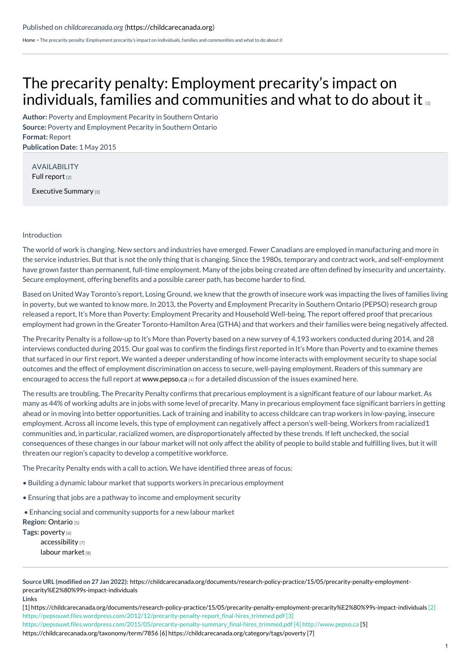[Home](https://childcarecanada.org/) > The precarity penalty: Employment precarity's impact on individuals, families and communities and what to do about it

## The precarity penalty: [Employment](https://childcarecanada.org/documents/research-policy-practice/15/05/precarity-penalty-employment-precarity%25E2%2580%2599s-impact-individuals) precarity's impact on individuals, families and communities and what to do about it

**Author:** Poverty and Employment Pecarity in Southern Ontario **Source:** Poverty and Employment Pecarity in Southern Ontario **Format:** Report **Publication Date:** 1 May 2015

AVAILABILITY Full [report](https://pepsouwt.files.wordpress.com/2012/12/precarity-penalty-report_final-hires_trimmed.pdf)<sub>[2]</sub>

[Executive](https://pepsouwt.files.wordpress.com/2015/05/precarity-penalty-summary_final-hires_trimmed.pdf) Summary [3]

## Introduction

The world of work is changing. New sectors and industries have emerged. Fewer Canadians are employed in manufacturing and more in the service industries. But that is not the only thing that is changing. Since the 1980s, temporary and contract work, and self-employment have grown faster than permanent, full-time employment. Many of the jobs being created are often defined by insecurity and uncertainty. Secure employment, offering benefits and a possible career path, has become harder to find.

Based on United Way Toronto's report, Losing Ground, we knew that the growth of insecure work was impacting the lives of families living in poverty, but we wanted to know more. In 2013, the Poverty and Employment Precarity in Southern Ontario (PEPSO) research group released a report, It's More than Poverty: Employment Precarity and Household Well-being. The report offered proof that precarious employment had grown in the Greater Toronto-Hamilton Area (GTHA) and that workers and their families were being negatively affected.

The Precarity Penalty is a follow-up to It's More than Poverty based on a new survey of 4,193 workers conducted during 2014, and 28 interviews conducted during 2015. Our goal was to confirm the findings first reported in It's More than Poverty and to examine themes that surfaced in our first report. We wanted a deeper understanding of how income interacts with employment security to shape social outcomes and the effect of employment discrimination on access to secure, well-paying employment. Readers of this summary are encouraged to access the full report at [www.pepso.ca](http://www.pepso.ca) [4] for a detailed discussion of the issues examined here.

The results are troubling. The Precarity Penalty confirms that precarious employment is a significant feature of our labour market. As many as 44% of working adults are in jobs with some level of precarity. Many in precarious employment face significant barriers in getting ahead or in moving into better opportunities. Lack of training and inability to access childcare can trap workers in low-paying, insecure employment. Across all income levels, this type of employment can negatively affect a person's well-being. Workers from racialized1 communities and, in particular, racialized women, are disproportionately affected by these trends. If left unchecked, the social consequences of these changes in our labour market will not only affect the ability of people to build stable and fulfilling lives, but it will threaten our region's capacity to develop a competitive workforce.

The Precarity Penalty ends with a call to action. We have identified three areas of focus:

- Building a dynamic labour market that supports workers in precarious employment
- Ensuring that jobs are a pathway to income and employment security

• Enhancing social and community supports for a new labour market

**Region:** [Ontario](https://childcarecanada.org/taxonomy/term/7856) [5]

**Tags:** [poverty](https://childcarecanada.org/category/tags/poverty) [6] [accessibility](https://childcarecanada.org/category/tags/accessibility) [7] labour [market](https://childcarecanada.org/category/tags/labour-market) [8]

**Source URL (modified on 27 Jan 2022):** [https://childcarecanada.org/documents/research-policy-practice/15/05/precarity-penalty-employment](https://childcarecanada.org/documents/research-policy-practice/15/05/precarity-penalty-employment-precarity%25E2%2580%2599s-impact-individuals)precarity%E2%80%99s-impact-individuals

**Links**

[1] [https://childcarecanada.org/documents/research-policy-practice/15/05/precarity-penalty-employment-precarity%E2%80%99s-impact-individuals](https://childcarecanada.org/documents/research-policy-practice/15/05/precarity-penalty-employment-precarity%25E2%2580%2599s-impact-individuals) [2] https://pepsouwt.files.wordpress.com/2012/12/precarity-penalty-report\_final-hires\_trimmed.pdf [3]

[https://pepsouwt.files.wordpress.com/2015/05/precarity-penalty-summary\\_final-hires\\_trimmed.pdf](https://childcarecanada.org/taxonomy/term/7856) [4] http://www.pepso.ca [5]

https://childcarecanada.org/taxonomy/term/7856 [6] [https://childcarecanada.org/category/tags/poverty](https://childcarecanada.org/category/tags/accessibility) [7]